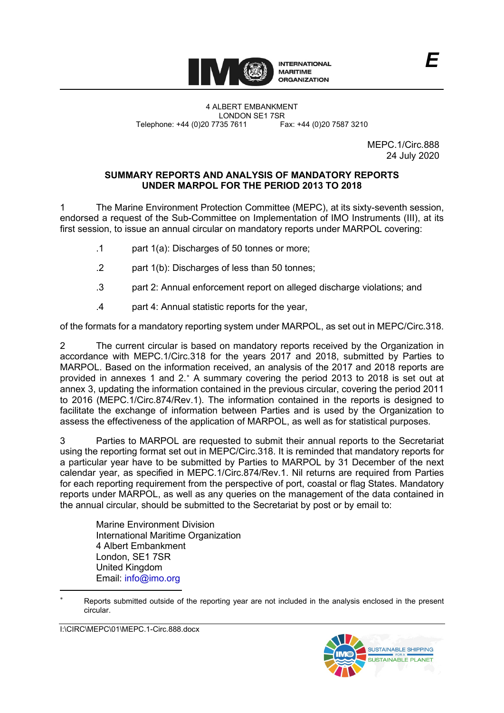

LONDON SE1 7SR<br>735 7611 Fax: +44 (0)20 7587 3210 Telephone: +44 (0)20 7735 7611

> MEPC.1/Circ.888 24 July 2020

# **SUMMARY REPORTS AND ANALYSIS OF MANDATORY REPORTS UNDER MARPOL FOR THE PERIOD 2013 TO 2018**

1 The Marine Environment Protection Committee (MEPC), at its sixty-seventh session, endorsed a request of the Sub-Committee on Implementation of IMO Instruments (III), at its first session, to issue an annual circular on mandatory reports under MARPOL covering:

- .1 part 1(a): Discharges of 50 tonnes or more;
- .2 part 1(b): Discharges of less than 50 tonnes;
- .3 part 2: Annual enforcement report on alleged discharge violations; and
- .4 part 4: Annual statistic reports for the year,

of the formats for a mandatory reporting system under MARPOL, as set out in MEPC/Circ.318.

2 The current circular is based on mandatory reports received by the Organization in accordance with MEPC.1/Circ.318 for the years 2017 and 2018, submitted by Parties to MARPOL. Based on the information received, an analysis of the 2017 and 2018 reports are provided in annexes 1 and 2.\* A summary covering the period 2013 to 2018 is set out at annex 3, updating the information contained in the previous circular, covering the period 2011 to 2016 (MEPC.1/Circ.874/Rev.1). The information contained in the reports is designed to facilitate the exchange of information between Parties and is used by the Organization to assess the effectiveness of the application of MARPOL, as well as for statistical purposes.

3 Parties to MARPOL are requested to submit their annual reports to the Secretariat using the reporting format set out in MEPC/Circ.318. It is reminded that mandatory reports for a particular year have to be submitted by Parties to MARPOL by 31 December of the next calendar year, as specified in MEPC.1/Circ.874/Rev.1. Nil returns are required from Parties for each reporting requirement from the perspective of port, coastal or flag States. Mandatory reports under MARPOL, as well as any queries on the management of the data contained in the annual circular, should be submitted to the Secretariat by post or by email to:

Marine Environment Division International Maritime Organization 4 Albert Embankment London, SE1 7SR United Kingdom Email: [info@imo.org](mailto:info@imo.org) 

I:\CIRC\MEPC\01\MEPC.1-Circ.888.docx



<span id="page-0-0"></span>Reports submitted outside of the reporting year are not included in the analysis enclosed in the present circular.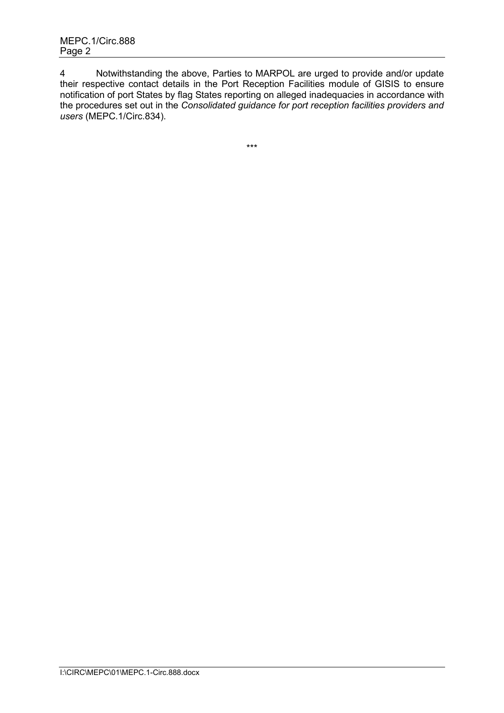4 Notwithstanding the above, Parties to MARPOL are urged to provide and/or update their respective contact details in the Port Reception Facilities module of GISIS to ensure notification of port States by flag States reporting on alleged inadequacies in accordance with the procedures set out in the *Consolidated guidance for port reception facilities providers and users* (MEPC.1/Circ.834).

\*\*\*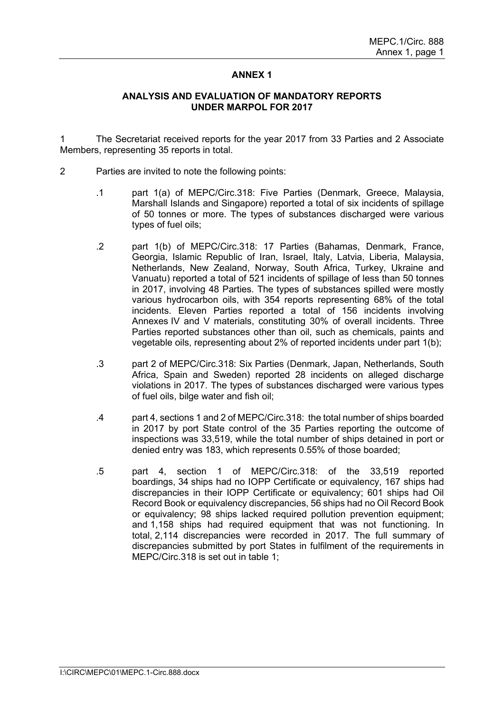# **ANNEX 1**

#### **ANALYSIS AND EVALUATION OF MANDATORY REPORTS UNDER MARPOL FOR 2017**

1 The Secretariat received reports for the year 2017 from 33 Parties and 2 Associate Members, representing 35 reports in total.

- 2 Parties are invited to note the following points:
	- .1 part 1(a) of MEPC/Circ.318: Five Parties (Denmark, Greece, Malaysia, Marshall Islands and Singapore) reported a total of six incidents of spillage of 50 tonnes or more. The types of substances discharged were various types of fuel oils;
	- .2 part 1(b) of MEPC/Circ.318: 17 Parties (Bahamas, Denmark, France, Georgia, Islamic Republic of Iran, Israel, Italy, Latvia, Liberia, Malaysia, Netherlands, New Zealand, Norway, South Africa, Turkey, Ukraine and Vanuatu) reported a total of 521 incidents of spillage of less than 50 tonnes in 2017, involving 48 Parties. The types of substances spilled were mostly various hydrocarbon oils, with 354 reports representing 68% of the total incidents. Eleven Parties reported a total of 156 incidents involving Annexes IV and V materials, constituting 30% of overall incidents. Three Parties reported substances other than oil, such as chemicals, paints and vegetable oils, representing about 2% of reported incidents under part 1(b);
	- .3 part 2 of MEPC/Circ.318: Six Parties (Denmark, Japan, Netherlands, South Africa, Spain and Sweden) reported 28 incidents on alleged discharge violations in 2017. The types of substances discharged were various types of fuel oils, bilge water and fish oil;
	- .4 part 4, sections 1 and 2 of MEPC/Circ.318: the total number of ships boarded in 2017 by port State control of the 35 Parties reporting the outcome of inspections was 33,519, while the total number of ships detained in port or denied entry was 183, which represents 0.55% of those boarded;
	- .5 part 4, section 1 of MEPC/Circ.318: of the 33,519 reported boardings, 34 ships had no IOPP Certificate or equivalency, 167 ships had discrepancies in their IOPP Certificate or equivalency; 601 ships had Oil Record Book or equivalency discrepancies, 56 ships had no Oil Record Book or equivalency; 98 ships lacked required pollution prevention equipment; and 1,158 ships had required equipment that was not functioning. In total, 2,114 discrepancies were recorded in 2017. The full summary of discrepancies submitted by port States in fulfilment of the requirements in MEPC/Circ.318 is set out in table 1;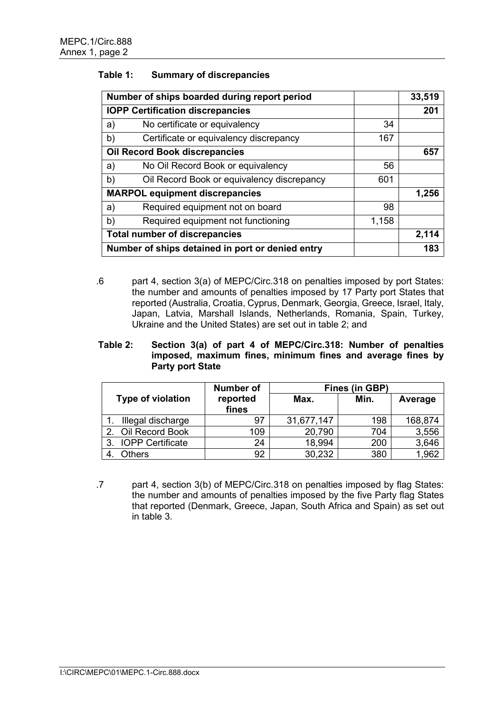### **Table 1: Summary of discrepancies**

|    | Number of ships boarded during report period     |       | 33,519 |
|----|--------------------------------------------------|-------|--------|
|    | <b>IOPP Certification discrepancies</b>          |       | 201    |
| a) | No certificate or equivalency                    | 34    |        |
| b) | Certificate or equivalency discrepancy           | 167   |        |
|    | <b>Oil Record Book discrepancies</b>             |       | 657    |
| a) | No Oil Record Book or equivalency                | 56    |        |
| b) | Oil Record Book or equivalency discrepancy       | 601   |        |
|    | <b>MARPOL equipment discrepancies</b>            |       | 1,256  |
| a) | Required equipment not on board                  | 98    |        |
| b) | Required equipment not functioning               | 1,158 |        |
|    | <b>Total number of discrepancies</b>             |       | 2,114  |
|    | Number of ships detained in port or denied entry |       | 183    |

.6 part 4, section 3(a) of MEPC/Circ.318 on penalties imposed by port States: the number and amounts of penalties imposed by 17 Party port States that reported (Australia, Croatia, Cyprus, Denmark, Georgia, Greece, Israel, Italy, Japan, Latvia, Marshall Islands, Netherlands, Romania, Spain, Turkey, Ukraine and the United States) are set out in table 2; and

#### **Table 2: Section 3(a) of part 4 of MEPC/Circ.318: Number of penalties imposed, maximum fines, minimum fines and average fines by Party port State**

|                               | <b>Number of</b>  | Fines (in GBP) |      |         |  |  |  |
|-------------------------------|-------------------|----------------|------|---------|--|--|--|
| Type of violation             | reported<br>fines | Max.           | Min. | Average |  |  |  |
| Illegal discharge             | 97                | 31,677,147     | 198  | 168,874 |  |  |  |
| 2. Oil Record Book            | 109               | 20,790         | 704  | 3,556   |  |  |  |
| <b>IOPP Certificate</b><br>3. | 24                | 18,994         | 200  | 3,646   |  |  |  |
| Others                        | 92                | 30,232         | 380  | 1.962   |  |  |  |

.7 part 4, section 3(b) of MEPC/Circ.318 on penalties imposed by flag States: the number and amounts of penalties imposed by the five Party flag States that reported (Denmark, Greece, Japan, South Africa and Spain) as set out in table 3.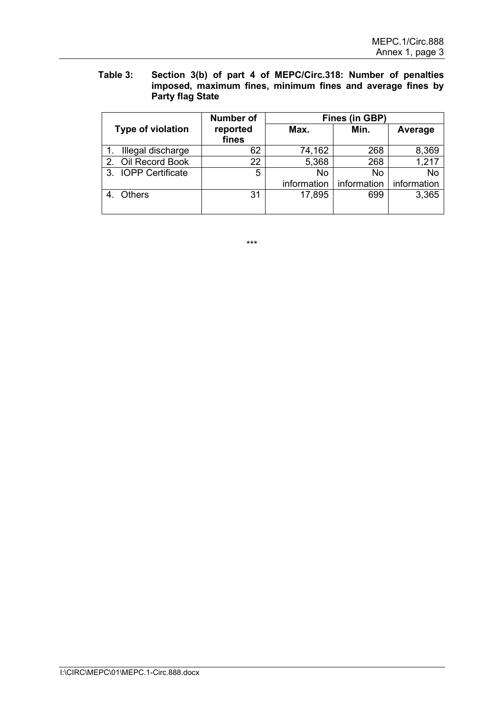### **Table 3: Section 3(b) of part 4 of MEPC/Circ.318: Number of penalties imposed, maximum fines, minimum fines and average fines by Party flag State**

|             |                     | <b>Number of</b>  | <b>Fines (in GBP)</b> |             |             |  |  |
|-------------|---------------------|-------------------|-----------------------|-------------|-------------|--|--|
|             | Type of violation   | reported<br>fines | Max.                  | Min.        | Average     |  |  |
|             | Illegal discharge   | 62                | 74,162                | 268         | 8,369       |  |  |
| $2_{\cdot}$ | Oil Record Book     | 22                | 5,368                 | 268         | 1,217       |  |  |
|             | 3. IOPP Certificate | 5                 | No                    | No          | No          |  |  |
|             |                     |                   | information           | information | information |  |  |
|             | <b>Others</b>       | 31                | 17,895                | 699         | 3,365       |  |  |

\*\*\*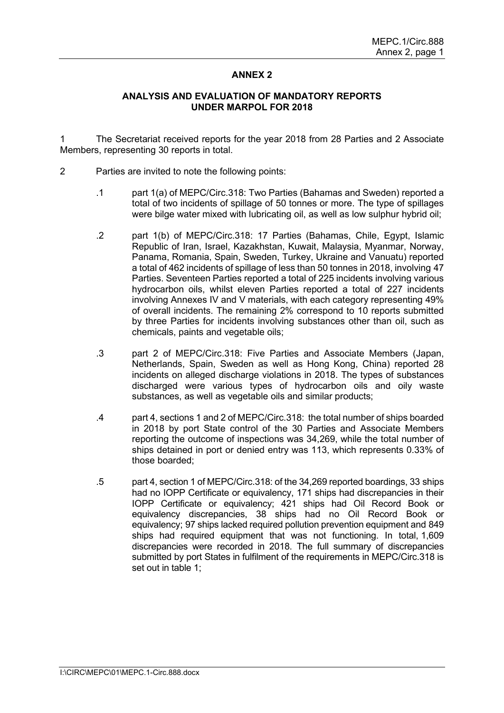# **ANNEX 2**

#### **ANALYSIS AND EVALUATION OF MANDATORY REPORTS UNDER MARPOL FOR 2018**

1 The Secretariat received reports for the year 2018 from 28 Parties and 2 Associate Members, representing 30 reports in total.

- 2 Parties are invited to note the following points:
	- .1 part 1(a) of MEPC/Circ.318: Two Parties (Bahamas and Sweden) reported a total of two incidents of spillage of 50 tonnes or more. The type of spillages were bilge water mixed with lubricating oil, as well as low sulphur hybrid oil;
	- .2 part 1(b) of MEPC/Circ.318: 17 Parties (Bahamas, Chile, Egypt, Islamic Republic of Iran, Israel, Kazakhstan, Kuwait, Malaysia, Myanmar, Norway, Panama, Romania, Spain, Sweden, Turkey, Ukraine and Vanuatu) reported a total of 462 incidents of spillage of less than 50 tonnes in 2018, involving 47 Parties. Seventeen Parties reported a total of 225 incidents involving various hydrocarbon oils, whilst eleven Parties reported a total of 227 incidents involving Annexes IV and V materials, with each category representing 49% of overall incidents. The remaining 2% correspond to 10 reports submitted by three Parties for incidents involving substances other than oil, such as chemicals, paints and vegetable oils;
	- .3 part 2 of MEPC/Circ.318: Five Parties and Associate Members (Japan, Netherlands, Spain, Sweden as well as Hong Kong, China) reported 28 incidents on alleged discharge violations in 2018. The types of substances discharged were various types of hydrocarbon oils and oily waste substances, as well as vegetable oils and similar products;
	- .4 part 4, sections 1 and 2 of MEPC/Circ.318: the total number of ships boarded in 2018 by port State control of the 30 Parties and Associate Members reporting the outcome of inspections was 34,269, while the total number of ships detained in port or denied entry was 113, which represents 0.33% of those boarded;
	- .5 part 4, section 1 of MEPC/Circ.318: of the 34,269 reported boardings, 33 ships had no IOPP Certificate or equivalency, 171 ships had discrepancies in their IOPP Certificate or equivalency; 421 ships had Oil Record Book or equivalency discrepancies, 38 ships had no Oil Record Book or equivalency; 97 ships lacked required pollution prevention equipment and 849 ships had required equipment that was not functioning. In total, 1,609 discrepancies were recorded in 2018. The full summary of discrepancies submitted by port States in fulfilment of the requirements in MEPC/Circ.318 is set out in table 1;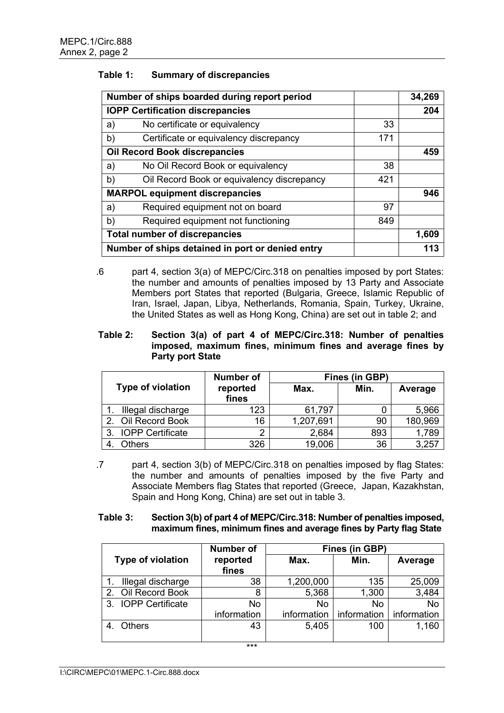# **Table 1: Summary of discrepancies**

|    | Number of ships boarded during report period     |     |       |  |  |
|----|--------------------------------------------------|-----|-------|--|--|
|    | <b>IOPP Certification discrepancies</b>          |     |       |  |  |
| a) | No certificate or equivalency                    | 33  |       |  |  |
| b) | Certificate or equivalency discrepancy           | 171 |       |  |  |
|    | <b>Oil Record Book discrepancies</b>             |     | 459   |  |  |
| a) | No Oil Record Book or equivalency                | 38  |       |  |  |
| b) | Oil Record Book or equivalency discrepancy       | 421 |       |  |  |
|    | <b>MARPOL equipment discrepancies</b>            |     | 946   |  |  |
| a) | Required equipment not on board                  | 97  |       |  |  |
| b) | Required equipment not functioning               | 849 |       |  |  |
|    | <b>Total number of discrepancies</b>             |     | 1,609 |  |  |
|    | Number of ships detained in port or denied entry |     | 113   |  |  |

.6 part 4, section 3(a) of MEPC/Circ.318 on penalties imposed by port States: the number and amounts of penalties imposed by 13 Party and Associate Members port States that reported (Bulgaria, Greece, Islamic Republic of Iran, Israel, Japan, Libya, Netherlands, Romania, Spain, Turkey, Ukraine, the United States as well as Hong Kong, China) are set out in table 2; and

### **Table 2: Section 3(a) of part 4 of MEPC/Circ.318: Number of penalties imposed, maximum fines, minimum fines and average fines by Party port State**

|                     | <b>Number of</b>  |           | <b>Fines (in GBP)</b> |         |  |  |
|---------------------|-------------------|-----------|-----------------------|---------|--|--|
| Type of violation   | reported<br>fines | Max.      | Min.                  | Average |  |  |
| Illegal discharge   | 123               | 61,797    |                       | 5,966   |  |  |
| 2. Oil Record Book  | 16                | 1,207,691 | 90                    | 180,969 |  |  |
| 3. IOPP Certificate | ◠                 | 2,684     | 893                   | 1,789   |  |  |
| <b>Others</b>       | 326               | 19,006    | 36                    | 3,257   |  |  |

.7 part 4, section 3(b) of MEPC/Circ.318 on penalties imposed by flag States: the number and amounts of penalties imposed by the five Party and Associate Members flag States that reported (Greece, Japan, Kazakhstan, Spain and Hong Kong, China) are set out in table 3.

### **Table 3: Section 3(b) of part 4 of MEPC/Circ.318: Number of penalties imposed, maximum fines, minimum fines and average fines by Party flag State**

|                     | <b>Number of</b> | <b>Fines (in GBP)</b> |             |               |  |  |  |
|---------------------|------------------|-----------------------|-------------|---------------|--|--|--|
| Type of violation   | reported         | Max.                  | Min.        | Average       |  |  |  |
|                     | fines            |                       |             |               |  |  |  |
| Illegal discharge   | 38               | 1,200,000             | 135         | 25,009        |  |  |  |
| Oil Record Book     | 8                | 5,368                 | 1,300       | 3,484         |  |  |  |
| 3. IOPP Certificate | No               | <b>No</b>             | <b>No</b>   | No            |  |  |  |
|                     | information      | information           | information | l information |  |  |  |
| <b>Others</b>       | 43               | 5,405                 | 100         | 1,160         |  |  |  |
|                     |                  |                       |             |               |  |  |  |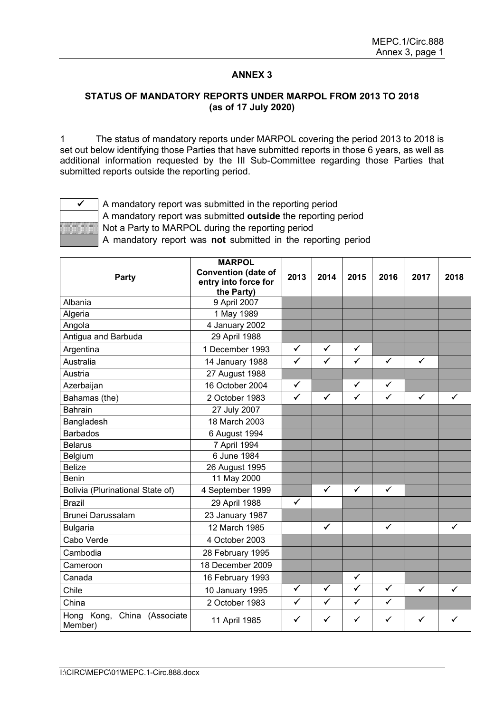# **ANNEX 3**

### **STATUS OF MANDATORY REPORTS UNDER MARPOL FROM 2013 TO 2018 (as of 17 July 2020)**

1 The status of mandatory reports under MARPOL covering the period 2013 to 2018 is set out below identifying those Parties that have submitted reports in those 6 years, as well as additional information requested by the III Sub-Committee regarding those Parties that submitted reports outside the reporting period.



 $\checkmark$  | A mandatory report was submitted in the reporting period A mandatory report was submitted **outside** the reporting period Not a Party to MARPOL during the reporting period A mandatory report was **not** submitted in the reporting period

| <b>Party</b>                              | <b>MARPOL</b><br><b>Convention (date of</b><br>entry into force for<br>the Party) | 2013                 | 2014                 | 2015                 | 2016                    | 2017         | 2018         |
|-------------------------------------------|-----------------------------------------------------------------------------------|----------------------|----------------------|----------------------|-------------------------|--------------|--------------|
| Albania                                   | 9 April 2007                                                                      |                      |                      |                      |                         |              |              |
| Algeria                                   | 1 May 1989                                                                        |                      |                      |                      |                         |              |              |
| Angola                                    | 4 January 2002                                                                    |                      |                      |                      |                         |              |              |
| Antigua and Barbuda                       | 29 April 1988                                                                     |                      |                      |                      |                         |              |              |
| Argentina                                 | 1 December 1993                                                                   | $\checkmark$         | $\checkmark$         | $\checkmark$         |                         |              |              |
| Australia                                 | 14 January 1988                                                                   | $\checkmark$         | $\checkmark$         | $\checkmark$         | $\checkmark$            | $\checkmark$ |              |
| Austria                                   | 27 August 1988                                                                    |                      |                      |                      |                         |              |              |
| Azerbaijan                                | 16 October 2004                                                                   | $\checkmark$         |                      | $\checkmark$         | ✓                       |              |              |
| Bahamas (the)                             | 2 October 1983                                                                    | $\checkmark$         | $\checkmark$         | $\checkmark$         | $\checkmark$            | $\checkmark$ | $\checkmark$ |
| <b>Bahrain</b>                            | 27 July 2007                                                                      |                      |                      |                      |                         |              |              |
| Bangladesh                                | 18 March 2003                                                                     |                      |                      |                      |                         |              |              |
| <b>Barbados</b>                           | 6 August 1994                                                                     |                      |                      |                      |                         |              |              |
| <b>Belarus</b>                            | 7 April 1994                                                                      |                      |                      |                      |                         |              |              |
| Belgium                                   | 6 June 1984                                                                       |                      |                      |                      |                         |              |              |
| <b>Belize</b>                             | 26 August 1995                                                                    |                      |                      |                      |                         |              |              |
| <b>Benin</b>                              | 11 May 2000                                                                       |                      |                      |                      |                         |              |              |
| Bolivia (Plurinational State of)          | 4 September 1999                                                                  |                      | ✓                    | $\checkmark$         | $\checkmark$            |              |              |
| <b>Brazil</b>                             | 29 April 1988                                                                     | $\checkmark$         |                      |                      |                         |              |              |
| <b>Brunei Darussalam</b>                  | 23 January 1987                                                                   |                      |                      |                      |                         |              |              |
| <b>Bulgaria</b>                           | 12 March 1985                                                                     |                      | $\checkmark$         |                      | $\checkmark$            |              | $\checkmark$ |
| Cabo Verde                                | 4 October 2003                                                                    |                      |                      |                      |                         |              |              |
| Cambodia                                  | 28 February 1995                                                                  |                      |                      |                      |                         |              |              |
| Cameroon                                  | 18 December 2009                                                                  |                      |                      |                      |                         |              |              |
| Canada                                    | 16 February 1993                                                                  |                      |                      | $\checkmark$         |                         |              |              |
| Chile                                     | 10 January 1995                                                                   | $\blacktriangledown$ | $\blacktriangledown$ | $\blacktriangledown$ | $\overline{\checkmark}$ | ✓            | ✓            |
| China                                     | 2 October 1983                                                                    | $\checkmark$         | $\checkmark$         | $\checkmark$         | $\checkmark$            |              |              |
| Hong Kong,<br>China (Associate<br>Member) | 11 April 1985                                                                     | $\checkmark$         | ✓                    | ✓                    | ✓                       | ✓            | ✓            |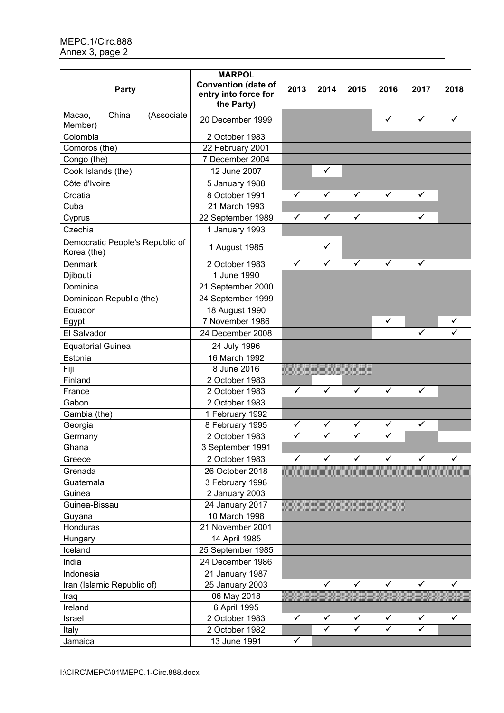| Party                                          | <b>MARPOL</b><br><b>Convention (date of</b><br>entry into force for<br>the Party) | 2013         | 2014         | 2015                 | 2016         | 2017         | 2018         |
|------------------------------------------------|-----------------------------------------------------------------------------------|--------------|--------------|----------------------|--------------|--------------|--------------|
| Macao,<br>China<br>(Associate<br>Member)       | 20 December 1999                                                                  |              |              |                      | $\checkmark$ | $\checkmark$ | ✓            |
| Colombia                                       | 2 October 1983                                                                    |              |              |                      |              |              |              |
| Comoros (the)                                  | 22 February 2001                                                                  |              |              |                      |              |              |              |
| Congo (the)                                    | 7 December 2004                                                                   |              |              |                      |              |              |              |
| Cook Islands (the)                             | 12 June 2007                                                                      |              | ✓            |                      |              |              |              |
| Côte d'Ivoire                                  | 5 January 1988                                                                    |              |              |                      |              |              |              |
| Croatia                                        | 8 October 1991                                                                    | ✓            | $\checkmark$ | ✓                    | $\checkmark$ | ✓            |              |
| Cuba                                           | 21 March 1993                                                                     |              |              |                      |              |              |              |
| Cyprus                                         | 22 September 1989                                                                 | $\checkmark$ | $\checkmark$ | $\checkmark$         |              | $\checkmark$ |              |
| Czechia                                        | 1 January 1993                                                                    |              |              |                      |              |              |              |
| Democratic People's Republic of<br>Korea (the) | 1 August 1985                                                                     |              | ✓            |                      |              |              |              |
| Denmark                                        | 2 October 1983                                                                    | $\checkmark$ | $\checkmark$ | $\checkmark$         | $\checkmark$ | $\checkmark$ |              |
| Djibouti                                       | 1 June 1990                                                                       |              |              |                      |              |              |              |
| Dominica                                       | 21 September 2000                                                                 |              |              |                      |              |              |              |
| Dominican Republic (the)                       | 24 September 1999                                                                 |              |              |                      |              |              |              |
| Ecuador                                        | 18 August 1990                                                                    |              |              |                      |              |              |              |
| Egypt                                          | 7 November 1986                                                                   |              |              |                      | $\checkmark$ |              | $\checkmark$ |
| El Salvador                                    | 24 December 2008                                                                  |              |              |                      |              | ✓            | ✓            |
| <b>Equatorial Guinea</b>                       | 24 July 1996                                                                      |              |              |                      |              |              |              |
| Estonia                                        | 16 March 1992                                                                     |              |              |                      |              |              |              |
| Fiji                                           | 8 June 2016                                                                       |              |              |                      |              |              |              |
| Finland                                        | 2 October 1983                                                                    |              |              |                      |              |              |              |
| France                                         | 2 October 1983                                                                    | $\checkmark$ | $\checkmark$ | $\checkmark$         | $\checkmark$ | $\checkmark$ |              |
| Gabon                                          | 2 October 1983                                                                    |              |              |                      |              |              |              |
| Gambia (the)                                   | 1 February 1992                                                                   |              |              |                      |              |              |              |
| Georgia                                        | 8 February 1995                                                                   | $\checkmark$ | ✓            | ✓                    | ✓            | $\checkmark$ |              |
| Germany                                        | 2 October 1983                                                                    | $\checkmark$ | $\checkmark$ | $\checkmark$         | $\checkmark$ |              |              |
| Ghana                                          | 3 September 1991                                                                  |              |              |                      |              |              |              |
| Greece                                         | 2 October 1983                                                                    | $\checkmark$ | ✓            | $\checkmark$         | ✓            | ✓            | ✓            |
| Grenada                                        | 26 October 2018                                                                   |              |              |                      |              |              |              |
| Guatemala                                      | 3 February 1998                                                                   |              |              |                      |              |              |              |
| Guinea                                         | 2 January 2003                                                                    |              |              |                      |              |              |              |
| Guinea-Bissau                                  | 24 January 2017                                                                   |              |              |                      |              |              |              |
| Guyana                                         | 10 March 1998                                                                     |              |              |                      |              |              |              |
| Honduras                                       | 21 November 2001                                                                  |              |              |                      |              |              |              |
| Hungary                                        | 14 April 1985                                                                     |              |              |                      |              |              |              |
| Iceland                                        | 25 September 1985                                                                 |              |              |                      |              |              |              |
| India                                          | 24 December 1986                                                                  |              |              |                      |              |              |              |
| Indonesia                                      | 21 January 1987                                                                   |              |              |                      |              |              |              |
| Iran (Islamic Republic of)                     | 25 January 2003                                                                   |              | $\checkmark$ | $\checkmark$         | $\checkmark$ | $\checkmark$ | $\checkmark$ |
| Iraq                                           | 06 May 2018                                                                       |              |              |                      |              |              |              |
| Ireland                                        | 6 April 1995                                                                      |              |              |                      |              |              |              |
| Israel                                         | 2 October 1983                                                                    | $\checkmark$ | $\checkmark$ | ✓                    | $\checkmark$ | $\checkmark$ | ✓            |
| Italy                                          | 2 October 1982                                                                    |              | $\checkmark$ | $\blacktriangledown$ | $\checkmark$ | $\checkmark$ |              |
| Jamaica                                        | 13 June 1991                                                                      | $\checkmark$ |              |                      |              |              |              |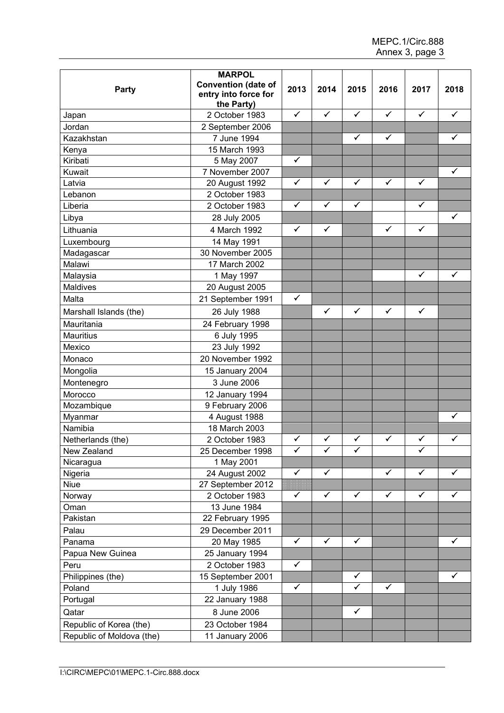| Party                     | <b>MARPOL</b><br><b>Convention (date of</b><br>entry into force for<br>the Party) | 2013         | 2014         | 2015         | 2016         | 2017         | 2018         |
|---------------------------|-----------------------------------------------------------------------------------|--------------|--------------|--------------|--------------|--------------|--------------|
| Japan                     | 2 October 1983                                                                    | ✓            | $\checkmark$ | ✓            | $\checkmark$ | $\checkmark$ | $\checkmark$ |
| Jordan                    | 2 September 2006                                                                  |              |              |              |              |              |              |
| Kazakhstan                | 7 June 1994                                                                       |              |              | $\checkmark$ | $\checkmark$ |              | $\checkmark$ |
| Kenya                     | 15 March 1993                                                                     |              |              |              |              |              |              |
| Kiribati                  | 5 May 2007                                                                        | $\checkmark$ |              |              |              |              |              |
| Kuwait                    | 7 November 2007                                                                   |              |              |              |              |              | $\checkmark$ |
| Latvia                    | 20 August 1992                                                                    | $\checkmark$ | $\checkmark$ | $\checkmark$ | $\checkmark$ | $\checkmark$ |              |
| Lebanon                   | 2 October 1983                                                                    |              |              |              |              |              |              |
| Liberia                   | 2 October 1983                                                                    | $\checkmark$ | ✓            | ✓            |              | ✓            |              |
| Libya                     | 28 July 2005                                                                      |              |              |              |              |              | $\checkmark$ |
| Lithuania                 | 4 March 1992                                                                      | $\checkmark$ | $\checkmark$ |              | $\checkmark$ | $\checkmark$ |              |
| Luxembourg                | 14 May 1991                                                                       |              |              |              |              |              |              |
| Madagascar                | 30 November 2005                                                                  |              |              |              |              |              |              |
| Malawi                    | 17 March 2002                                                                     |              |              |              |              |              |              |
| Malaysia                  | 1 May 1997                                                                        |              |              |              |              | $\checkmark$ | $\checkmark$ |
| <b>Maldives</b>           | 20 August 2005                                                                    |              |              |              |              |              |              |
| Malta                     | 21 September 1991                                                                 | $\checkmark$ |              |              |              |              |              |
| Marshall Islands (the)    | 26 July 1988                                                                      |              | $\checkmark$ | $\checkmark$ | $\checkmark$ | $\checkmark$ |              |
| Mauritania                | 24 February 1998                                                                  |              |              |              |              |              |              |
| <b>Mauritius</b>          | 6 July 1995                                                                       |              |              |              |              |              |              |
| Mexico                    | 23 July 1992                                                                      |              |              |              |              |              |              |
| Monaco                    | 20 November 1992                                                                  |              |              |              |              |              |              |
| Mongolia                  | 15 January 2004                                                                   |              |              |              |              |              |              |
| Montenegro                | 3 June 2006                                                                       |              |              |              |              |              |              |
| Morocco                   | 12 January 1994                                                                   |              |              |              |              |              |              |
| Mozambique                | 9 February 2006                                                                   |              |              |              |              |              |              |
| Myanmar                   | 4 August 1988                                                                     |              |              |              |              |              | ✓            |
| Namibia                   | 18 March 2003                                                                     |              |              |              |              |              |              |
| Netherlands (the)         | 2 October 1983                                                                    | $\checkmark$ | ✓            | $\checkmark$ | $\checkmark$ | $\checkmark$ | ✓            |
| New Zealand               | 25 December 1998                                                                  | $\checkmark$ | $\checkmark$ | $\checkmark$ |              | ✓            |              |
| Nicaragua                 | 1 May 2001                                                                        |              |              |              |              |              |              |
| Nigeria                   | 24 August 2002                                                                    | $\checkmark$ | $\checkmark$ |              | $\checkmark$ | $\checkmark$ | ✓            |
| <b>Niue</b>               | 27 September 2012                                                                 |              |              |              |              |              |              |
| Norway                    | 2 October 1983                                                                    | ✓            | ✓            | $\checkmark$ | $\checkmark$ | $\checkmark$ | ✓            |
| Oman                      | 13 June 1984                                                                      |              |              |              |              |              |              |
| Pakistan                  | 22 February 1995                                                                  |              |              |              |              |              |              |
| Palau                     | 29 December 2011                                                                  |              |              |              |              |              |              |
| Panama                    | 20 May 1985                                                                       | $\checkmark$ | ✓            | $\checkmark$ |              |              | ✓            |
|                           | 25 January 1994                                                                   |              |              |              |              |              |              |
| Papua New Guinea<br>Peru  | 2 October 1983                                                                    | $\checkmark$ |              |              |              |              |              |
|                           |                                                                                   |              |              | ✓            |              |              | ✓            |
| Philippines (the)         | 15 September 2001                                                                 | $\checkmark$ |              | $\checkmark$ | $\checkmark$ |              |              |
| Poland                    | 1 July 1986                                                                       |              |              |              |              |              |              |
| Portugal                  | 22 January 1988                                                                   |              |              |              |              |              |              |
| Qatar                     | 8 June 2006                                                                       |              |              | $\checkmark$ |              |              |              |
| Republic of Korea (the)   | 23 October 1984                                                                   |              |              |              |              |              |              |
| Republic of Moldova (the) | 11 January 2006                                                                   |              |              |              |              |              |              |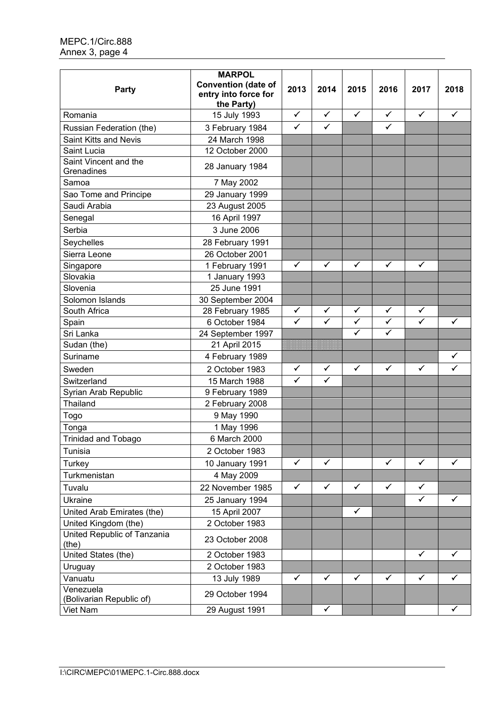| Party                                 | <b>MARPOL</b><br><b>Convention (date of</b><br>entry into force for<br>the Party) | 2013         | 2014         | 2015         | 2016         | 2017         | 2018         |
|---------------------------------------|-----------------------------------------------------------------------------------|--------------|--------------|--------------|--------------|--------------|--------------|
| Romania                               | 15 July 1993                                                                      | $\checkmark$ | $\checkmark$ | $\checkmark$ | $\checkmark$ | $\checkmark$ | $\checkmark$ |
| Russian Federation (the)              | 3 February 1984                                                                   | $\checkmark$ | $\checkmark$ |              | $\checkmark$ |              |              |
| <b>Saint Kitts and Nevis</b>          | 24 March 1998                                                                     |              |              |              |              |              |              |
| Saint Lucia                           | 12 October 2000                                                                   |              |              |              |              |              |              |
| Saint Vincent and the<br>Grenadines   | 28 January 1984                                                                   |              |              |              |              |              |              |
| Samoa                                 | 7 May 2002                                                                        |              |              |              |              |              |              |
| Sao Tome and Principe                 | 29 January 1999                                                                   |              |              |              |              |              |              |
| Saudi Arabia                          | 23 August 2005                                                                    |              |              |              |              |              |              |
| Senegal                               | 16 April 1997                                                                     |              |              |              |              |              |              |
| Serbia                                | 3 June 2006                                                                       |              |              |              |              |              |              |
| Seychelles                            | 28 February 1991                                                                  |              |              |              |              |              |              |
| Sierra Leone                          | 26 October 2001                                                                   |              |              |              |              |              |              |
| Singapore                             | 1 February 1991                                                                   | ✓            | $\checkmark$ | $\checkmark$ | ✓            | ✓            |              |
| Slovakia                              | 1 January 1993                                                                    |              |              |              |              |              |              |
| Slovenia                              | 25 June 1991                                                                      |              |              |              |              |              |              |
| Solomon Islands                       | 30 September 2004                                                                 |              |              |              |              |              |              |
| South Africa                          | 28 February 1985                                                                  | ✓            | ✓            | $\checkmark$ | $\checkmark$ | $\checkmark$ |              |
| Spain                                 | 6 October 1984                                                                    | $\checkmark$ | ✓            | $\checkmark$ | $\checkmark$ | $\checkmark$ | ✓            |
| Sri Lanka                             | 24 September 1997                                                                 |              |              | $\checkmark$ | $\checkmark$ |              |              |
| Sudan (the)                           | 21 April 2015                                                                     |              |              |              |              |              |              |
| Suriname                              | 4 February 1989                                                                   |              |              |              |              |              | ✓            |
| Sweden                                | 2 October 1983                                                                    | ✓            | $\checkmark$ | $\checkmark$ | $\checkmark$ | $\checkmark$ | $\checkmark$ |
| Switzerland                           | 15 March 1988                                                                     | $\checkmark$ | $\checkmark$ |              |              |              |              |
| Syrian Arab Republic                  | 9 February 1989                                                                   |              |              |              |              |              |              |
| Thailand                              | 2 February 2008                                                                   |              |              |              |              |              |              |
| Togo                                  | 9 May 1990                                                                        |              |              |              |              |              |              |
| Tonga                                 | 1 May 1996                                                                        |              |              |              |              |              |              |
| <b>Trinidad and Tobago</b>            | 6 March 2000                                                                      |              |              |              |              |              |              |
| Tunisia                               | 2 October 1983                                                                    |              |              |              |              |              |              |
| Turkey                                | 10 January 1991                                                                   | $\checkmark$ | $\checkmark$ |              | $\checkmark$ | $\checkmark$ | ✓            |
| Turkmenistan                          | 4 May 2009                                                                        |              |              |              |              |              |              |
| Tuvalu                                | 22 November 1985                                                                  | $\checkmark$ | $\checkmark$ | $\checkmark$ | $\checkmark$ | $\checkmark$ |              |
| Ukraine                               | 25 January 1994                                                                   |              |              |              |              | $\checkmark$ | ✓            |
| United Arab Emirates (the)            | 15 April 2007                                                                     |              |              | $\checkmark$ |              |              |              |
| United Kingdom (the)                  | 2 October 1983                                                                    |              |              |              |              |              |              |
| United Republic of Tanzania<br>(the)  | 23 October 2008                                                                   |              |              |              |              |              |              |
| United States (the)                   | 2 October 1983                                                                    |              |              |              |              | $\checkmark$ | ✓            |
| Uruguay                               | 2 October 1983                                                                    |              |              |              |              |              |              |
| Vanuatu                               | 13 July 1989                                                                      | $\checkmark$ | $\checkmark$ | $\checkmark$ | $\checkmark$ | $\checkmark$ | $\checkmark$ |
| Venezuela<br>(Bolivarian Republic of) | 29 October 1994                                                                   |              |              |              |              |              |              |
| Viet Nam                              | 29 August 1991                                                                    |              | $\checkmark$ |              |              |              | ✓            |